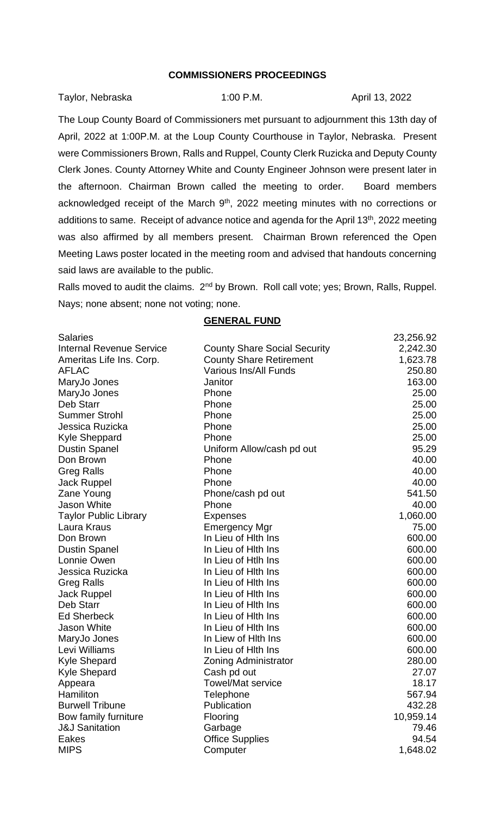## **COMMISSIONERS PROCEEDINGS**

| Taylor, Nebraska | $1:00$ P.M. | April 13, 2022 |
|------------------|-------------|----------------|
|                  |             |                |

The Loup County Board of Commissioners met pursuant to adjournment this 13th day of April, 2022 at 1:00P.M. at the Loup County Courthouse in Taylor, Nebraska. Present were Commissioners Brown, Ralls and Ruppel, County Clerk Ruzicka and Deputy County Clerk Jones. County Attorney White and County Engineer Johnson were present later in the afternoon. Chairman Brown called the meeting to order. Board members acknowledged receipt of the March 9<sup>th</sup>, 2022 meeting minutes with no corrections or additions to same. Receipt of advance notice and agenda for the April 13<sup>th</sup>, 2022 meeting was also affirmed by all members present. Chairman Brown referenced the Open Meeting Laws poster located in the meeting room and advised that handouts concerning said laws are available to the public.

Ralls moved to audit the claims. 2<sup>nd</sup> by Brown. Roll call vote; yes; Brown, Ralls, Ruppel. Nays; none absent; none not voting; none.

| <b>Salaries</b>                 |                                     | 23,256.92 |
|---------------------------------|-------------------------------------|-----------|
| <b>Internal Revenue Service</b> | <b>County Share Social Security</b> | 2,242.30  |
| Ameritas Life Ins. Corp.        | <b>County Share Retirement</b>      | 1,623.78  |
| <b>AFLAC</b>                    | Various Ins/All Funds               | 250.80    |
| MaryJo Jones                    | Janitor                             | 163.00    |
| MaryJo Jones                    | Phone                               | 25.00     |
| Deb Starr                       | Phone                               | 25.00     |
| <b>Summer Strohl</b>            | Phone                               | 25.00     |
| Jessica Ruzicka                 | Phone                               | 25.00     |
| <b>Kyle Sheppard</b>            | Phone                               | 25.00     |
| <b>Dustin Spanel</b>            | Uniform Allow/cash pd out           | 95.29     |
| Don Brown                       | Phone                               | 40.00     |
| <b>Greg Ralls</b>               | Phone                               | 40.00     |
| <b>Jack Ruppel</b>              | Phone                               | 40.00     |
| Zane Young                      | Phone/cash pd out                   | 541.50    |
| Jason White                     | Phone                               | 40.00     |
| <b>Taylor Public Library</b>    | <b>Expenses</b>                     | 1,060.00  |
| Laura Kraus                     | Emergency Mgr                       | 75.00     |
| Don Brown                       | In Lieu of Hith Ins                 | 600.00    |
| <b>Dustin Spanel</b>            | In Lieu of Hith Ins                 | 600.00    |
| Lonnie Owen                     | In Lieu of Htlh Ins                 | 600.00    |
| Jessica Ruzicka                 | In Lieu of Hith Ins                 | 600.00    |
| <b>Greg Ralls</b>               | In Lieu of Hith Ins                 | 600.00    |
| Jack Ruppel                     | In Lieu of Hith Ins                 | 600.00    |
| Deb Starr                       | In Lieu of Hith Ins                 | 600.00    |
| <b>Ed Sherbeck</b>              | In Lieu of Hith Ins                 | 600.00    |
| <b>Jason White</b>              | In Lieu of Hith Ins                 | 600.00    |
| MaryJo Jones                    | In Liew of Hith Ins                 | 600.00    |
| Levi Williams                   | In Lieu of Hith Ins                 | 600.00    |
| <b>Kyle Shepard</b>             | <b>Zoning Administrator</b>         | 280.00    |
| <b>Kyle Shepard</b>             | Cash pd out                         | 27.07     |
| Appeara                         | <b>Towel/Mat service</b>            | 18.17     |
| Hamiliton                       | Telephone                           | 567.94    |
| <b>Burwell Tribune</b>          | Publication                         | 432.28    |
| Bow family furniture            | Flooring                            | 10,959.14 |
| <b>J&amp;J Sanitation</b>       | Garbage                             | 79.46     |
| Eakes                           | <b>Office Supplies</b>              | 94.54     |
| <b>MIPS</b>                     | Computer                            | 1,648.02  |

## **GENERAL FUND**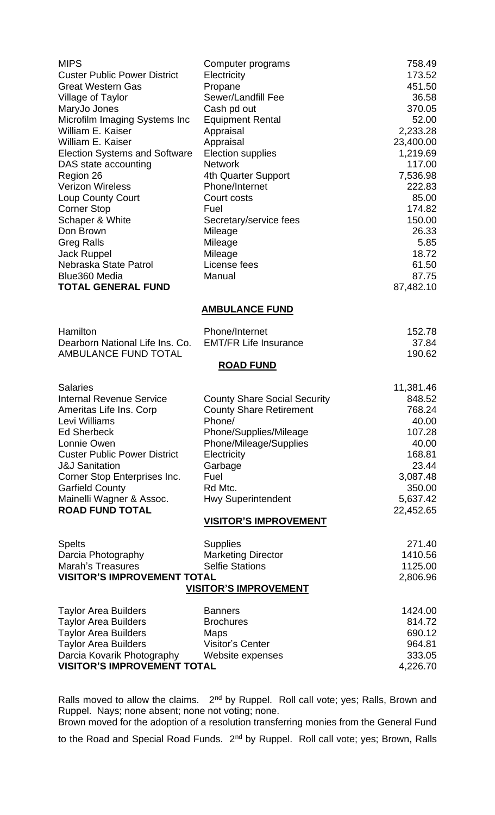| <b>MIPS</b><br><b>Custer Public Power District</b><br><b>Great Western Gas</b><br><b>Village of Taylor</b><br>MaryJo Jones<br>Microfilm Imaging Systems Inc<br>William E. Kaiser<br>William E. Kaiser<br><b>Election Systems and Software</b><br>DAS state accounting<br>Region 26<br><b>Verizon Wireless</b><br><b>Loup County Court</b><br><b>Corner Stop</b><br>Schaper & White<br>Don Brown<br><b>Greg Ralls</b><br><b>Jack Ruppel</b><br>Nebraska State Patrol<br>Blue360 Media | Computer programs<br>Electricity<br>Propane<br>Sewer/Landfill Fee<br>Cash pd out<br><b>Equipment Rental</b><br>Appraisal<br>Appraisal<br>Election supplies<br><b>Network</b><br>4th Quarter Support<br>Phone/Internet<br>Court costs<br>Fuel<br>Secretary/service fees<br>Mileage<br>Mileage<br>Mileage<br>License fees<br>Manual | 758.49<br>173.52<br>451.50<br>36.58<br>370.05<br>52.00<br>2,233.28<br>23,400.00<br>1,219.69<br>117.00<br>7,536.98<br>222.83<br>85.00<br>174.82<br>150.00<br>26.33<br>5.85<br>18.72<br>61.50<br>87.75 |  |  |  |
|--------------------------------------------------------------------------------------------------------------------------------------------------------------------------------------------------------------------------------------------------------------------------------------------------------------------------------------------------------------------------------------------------------------------------------------------------------------------------------------|-----------------------------------------------------------------------------------------------------------------------------------------------------------------------------------------------------------------------------------------------------------------------------------------------------------------------------------|------------------------------------------------------------------------------------------------------------------------------------------------------------------------------------------------------|--|--|--|
| <b>TOTAL GENERAL FUND</b>                                                                                                                                                                                                                                                                                                                                                                                                                                                            |                                                                                                                                                                                                                                                                                                                                   | 87,482.10                                                                                                                                                                                            |  |  |  |
|                                                                                                                                                                                                                                                                                                                                                                                                                                                                                      |                                                                                                                                                                                                                                                                                                                                   |                                                                                                                                                                                                      |  |  |  |
|                                                                                                                                                                                                                                                                                                                                                                                                                                                                                      | <b>AMBULANCE FUND</b>                                                                                                                                                                                                                                                                                                             |                                                                                                                                                                                                      |  |  |  |
| Hamilton<br>Dearborn National Life Ins. Co.<br>AMBULANCE FUND TOTAL                                                                                                                                                                                                                                                                                                                                                                                                                  | Phone/Internet<br><b>EMT/FR Life Insurance</b>                                                                                                                                                                                                                                                                                    | 152.78<br>37.84<br>190.62                                                                                                                                                                            |  |  |  |
|                                                                                                                                                                                                                                                                                                                                                                                                                                                                                      | <b>ROAD FUND</b>                                                                                                                                                                                                                                                                                                                  |                                                                                                                                                                                                      |  |  |  |
| <b>Salaries</b>                                                                                                                                                                                                                                                                                                                                                                                                                                                                      |                                                                                                                                                                                                                                                                                                                                   | 11,381.46                                                                                                                                                                                            |  |  |  |
| <b>Internal Revenue Service</b><br>Ameritas Life Ins. Corp<br>Levi Williams<br><b>Ed Sherbeck</b>                                                                                                                                                                                                                                                                                                                                                                                    | <b>County Share Social Security</b><br><b>County Share Retirement</b><br>Phone/<br>Phone/Supplies/Mileage                                                                                                                                                                                                                         | 848.52<br>768.24<br>40.00<br>107.28                                                                                                                                                                  |  |  |  |
| Lonnie Owen<br><b>Custer Public Power District</b><br><b>J&amp;J Sanitation</b>                                                                                                                                                                                                                                                                                                                                                                                                      | Phone/Mileage/Supplies<br>Electricity<br>Garbage                                                                                                                                                                                                                                                                                  | 40.00<br>168.81<br>23.44                                                                                                                                                                             |  |  |  |
| Corner Stop Enterprises Inc.<br><b>Garfield County</b>                                                                                                                                                                                                                                                                                                                                                                                                                               | Fuel<br>Rd Mtc.                                                                                                                                                                                                                                                                                                                   | 3,087.48<br>350.00                                                                                                                                                                                   |  |  |  |
| Mainelli Wagner & Assoc.<br><b>ROAD FUND TOTAL</b>                                                                                                                                                                                                                                                                                                                                                                                                                                   | <b>Hwy Superintendent</b>                                                                                                                                                                                                                                                                                                         | 5,637.42<br>22,452.65                                                                                                                                                                                |  |  |  |
|                                                                                                                                                                                                                                                                                                                                                                                                                                                                                      | <b>VISITOR'S IMPROVEMENT</b>                                                                                                                                                                                                                                                                                                      |                                                                                                                                                                                                      |  |  |  |
| <b>Spelts</b><br>Darcia Photography<br>Marah's Treasures<br><b>VISITOR'S IMPROVEMENT TOTAL</b>                                                                                                                                                                                                                                                                                                                                                                                       | <b>Supplies</b><br><b>Marketing Director</b><br><b>Selfie Stations</b><br><b>VISITOR'S IMPROVEMENT</b>                                                                                                                                                                                                                            | 271.40<br>1410.56<br>1125.00<br>2,806.96                                                                                                                                                             |  |  |  |
| <b>Taylor Area Builders</b><br><b>Taylor Area Builders</b><br><b>Taylor Area Builders</b><br><b>Taylor Area Builders</b><br>Darcia Kovarik Photography<br><b>VISITOR'S IMPROVEMENT TOTAL</b>                                                                                                                                                                                                                                                                                         | <b>Banners</b><br><b>Brochures</b><br>Maps<br><b>Visitor's Center</b><br>Website expenses                                                                                                                                                                                                                                         | 1424.00<br>814.72<br>690.12<br>964.81<br>333.05<br>4,226.70                                                                                                                                          |  |  |  |

Ralls moved to allow the claims.  $2<sup>nd</sup>$  by Ruppel. Roll call vote; yes; Ralls, Brown and Ruppel. Nays; none absent; none not voting; none.

Brown moved for the adoption of a resolution transferring monies from the General Fund to the Road and Special Road Funds. 2<sup>nd</sup> by Ruppel. Roll call vote; yes; Brown, Ralls